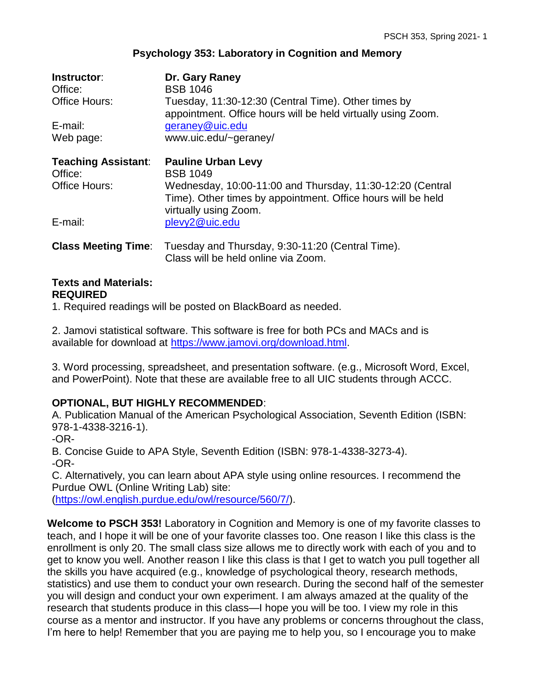# **Psychology 353: Laboratory in Cognition and Memory**

| Instructor:<br>Office:<br><b>Office Hours:</b> | Dr. Gary Raney<br><b>BSB 1046</b><br>Tuesday, 11:30-12:30 (Central Time). Other times by<br>appointment. Office hours will be held virtually using Zoom. |
|------------------------------------------------|----------------------------------------------------------------------------------------------------------------------------------------------------------|
| E-mail:                                        | geraney@uic.edu                                                                                                                                          |
| Web page:                                      | www.uic.edu/~geraney/                                                                                                                                    |
| <b>Teaching Assistant:</b><br>Office:          | <b>Pauline Urban Levy</b><br><b>BSB 1049</b>                                                                                                             |
| Office Hours:                                  | Wednesday, 10:00-11:00 and Thursday, 11:30-12:20 (Central<br>Time). Other times by appointment. Office hours will be held<br>virtually using Zoom.       |
| E-mail:                                        | plevy2@uic.edu                                                                                                                                           |
| <b>Class Meeting Time:</b>                     | Tuesday and Thursday, 9:30-11:20 (Central Time).<br>Class will be held online via Zoom.                                                                  |

#### **Texts and Materials: REQUIRED**

1. Required readings will be posted on BlackBoard as needed.

2. Jamovi statistical software. This software is free for both PCs and MACs and is available for download at [https://www.jamovi.org/download.html.](https://www.jamovi.org/download.html)

3. Word processing, spreadsheet, and presentation software. (e.g., Microsoft Word, Excel, and PowerPoint). Note that these are available free to all UIC students through ACCC.

# **OPTIONAL, BUT HIGHLY RECOMMENDED**:

A. Publication Manual of the American Psychological Association, Seventh Edition (ISBN: 978-1-4338-3216-1).

-OR-

B. Concise Guide to APA Style, Seventh Edition (ISBN: 978-1-4338-3273-4). -OR-

C. Alternatively, you can learn about APA style using online resources. I recommend the Purdue OWL (Online Writing Lab) site:

[\(https://owl.english.purdue.edu/owl/resource/560/7/\)](https://owl.english.purdue.edu/owl/resource/560/7/).

**Welcome to PSCH 353!** Laboratory in Cognition and Memory is one of my favorite classes to teach, and I hope it will be one of your favorite classes too. One reason I like this class is the enrollment is only 20. The small class size allows me to directly work with each of you and to get to know you well. Another reason I like this class is that I get to watch you pull together all the skills you have acquired (e.g., knowledge of psychological theory, research methods, statistics) and use them to conduct your own research. During the second half of the semester you will design and conduct your own experiment. I am always amazed at the quality of the research that students produce in this class—I hope you will be too. I view my role in this course as a mentor and instructor. If you have any problems or concerns throughout the class, I'm here to help! Remember that you are paying me to help you, so I encourage you to make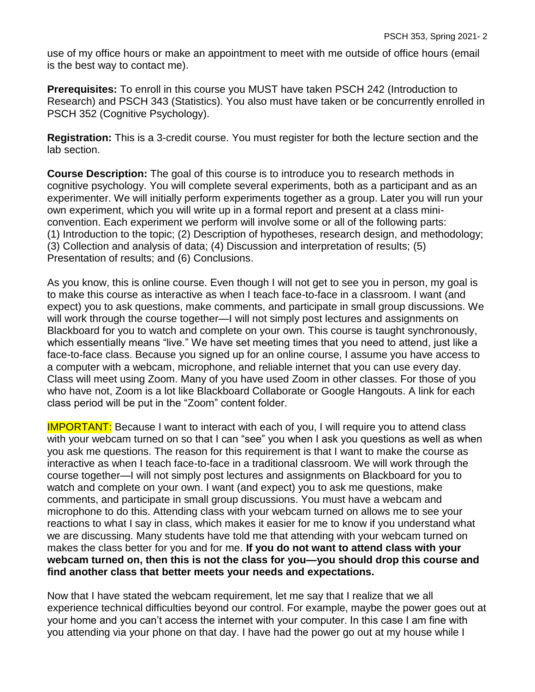use of my office hours or make an appointment to meet with me outside of office hours (email is the best way to contact me).

**Prerequisites:** To enroll in this course you MUST have taken PSCH 242 (Introduction to Research) and PSCH 343 (Statistics). You also must have taken or be concurrently enrolled in PSCH 352 (Cognitive Psychology).

**Registration:** This is a 3-credit course. You must register for both the lecture section and the lab section.

**Course Description:** The goal of this course is to introduce you to research methods in cognitive psychology. You will complete several experiments, both as a participant and as an experimenter. We will initially perform experiments together as a group. Later you will run your own experiment, which you will write up in a formal report and present at a class miniconvention. Each experiment we perform will involve some or all of the following parts: (1) Introduction to the topic; (2) Description of hypotheses, research design, and methodology; (3) Collection and analysis of data; (4) Discussion and interpretation of results; (5) Presentation of results; and (6) Conclusions.

As you know, this is online course. Even though I will not get to see you in person, my goal is to make this course as interactive as when I teach face-to-face in a classroom. I want (and expect) you to ask questions, make comments, and participate in small group discussions. We will work through the course together—I will not simply post lectures and assignments on Blackboard for you to watch and complete on your own. This course is taught synchronously, which essentially means "live." We have set meeting times that you need to attend, just like a face-to-face class. Because you signed up for an online course, I assume you have access to a computer with a webcam, microphone, and reliable internet that you can use every day. Class will meet using Zoom. Many of you have used Zoom in other classes. For those of you who have not, Zoom is a lot like Blackboard Collaborate or Google Hangouts. A link for each class period will be put in the "Zoom" content folder.

**IMPORTANT:** Because I want to interact with each of you, I will require you to attend class with your webcam turned on so that I can "see" you when I ask you questions as well as when you ask me questions. The reason for this requirement is that I want to make the course as interactive as when I teach face-to-face in a traditional classroom. We will work through the course together—I will not simply post lectures and assignments on Blackboard for you to watch and complete on your own. I want (and expect) you to ask me questions, make comments, and participate in small group discussions. You must have a webcam and microphone to do this. Attending class with your webcam turned on allows me to see your reactions to what I say in class, which makes it easier for me to know if you understand what we are discussing. Many students have told me that attending with your webcam turned on makes the class better for you and for me. **If you do not want to attend class with your webcam turned on, then this is not the class for you—you should drop this course and find another class that better meets your needs and expectations.**

Now that I have stated the webcam requirement, let me say that I realize that we all experience technical difficulties beyond our control. For example, maybe the power goes out at your home and you can't access the internet with your computer. In this case I am fine with you attending via your phone on that day. I have had the power go out at my house while I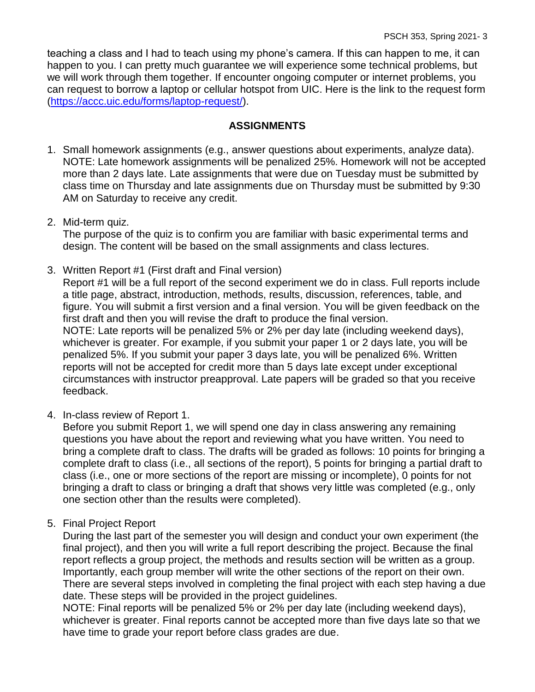teaching a class and I had to teach using my phone's camera. If this can happen to me, it can happen to you. I can pretty much guarantee we will experience some technical problems, but we will work through them together. If encounter ongoing computer or internet problems, you can request to borrow a laptop or cellular hotspot from UIC. Here is the link to the request form [\(https://accc.uic.edu/forms/laptop-request/\)](https://accc.uic.edu/forms/laptop-request/).

### **ASSIGNMENTS**

- 1. Small homework assignments (e.g., answer questions about experiments, analyze data). NOTE: Late homework assignments will be penalized 25%. Homework will not be accepted more than 2 days late. Late assignments that were due on Tuesday must be submitted by class time on Thursday and late assignments due on Thursday must be submitted by 9:30 AM on Saturday to receive any credit.
- 2. Mid-term quiz.

The purpose of the quiz is to confirm you are familiar with basic experimental terms and design. The content will be based on the small assignments and class lectures.

3. Written Report #1 (First draft and Final version)

Report #1 will be a full report of the second experiment we do in class. Full reports include a title page, abstract, introduction, methods, results, discussion, references, table, and figure. You will submit a first version and a final version. You will be given feedback on the first draft and then you will revise the draft to produce the final version. NOTE: Late reports will be penalized 5% or 2% per day late (including weekend days),

whichever is greater. For example, if you submit your paper 1 or 2 days late, you will be penalized 5%. If you submit your paper 3 days late, you will be penalized 6%. Written reports will not be accepted for credit more than 5 days late except under exceptional circumstances with instructor preapproval. Late papers will be graded so that you receive feedback.

4. In-class review of Report 1.

Before you submit Report 1, we will spend one day in class answering any remaining questions you have about the report and reviewing what you have written. You need to bring a complete draft to class. The drafts will be graded as follows: 10 points for bringing a complete draft to class (i.e., all sections of the report), 5 points for bringing a partial draft to class (i.e., one or more sections of the report are missing or incomplete), 0 points for not bringing a draft to class or bringing a draft that shows very little was completed (e.g., only one section other than the results were completed).

5. Final Project Report

During the last part of the semester you will design and conduct your own experiment (the final project), and then you will write a full report describing the project. Because the final report reflects a group project, the methods and results section will be written as a group. Importantly, each group member will write the other sections of the report on their own. There are several steps involved in completing the final project with each step having a due date. These steps will be provided in the project guidelines.

NOTE: Final reports will be penalized 5% or 2% per day late (including weekend days), whichever is greater. Final reports cannot be accepted more than five days late so that we have time to grade your report before class grades are due.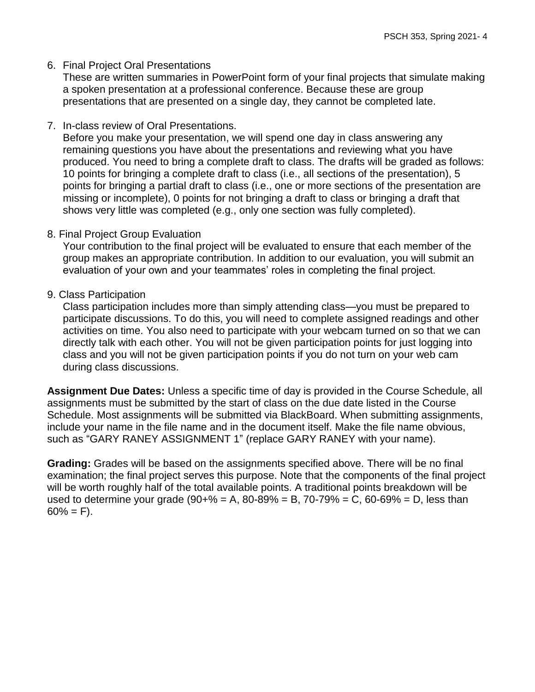### 6. Final Project Oral Presentations

These are written summaries in PowerPoint form of your final projects that simulate making a spoken presentation at a professional conference. Because these are group presentations that are presented on a single day, they cannot be completed late.

7. In-class review of Oral Presentations.

Before you make your presentation, we will spend one day in class answering any remaining questions you have about the presentations and reviewing what you have produced. You need to bring a complete draft to class. The drafts will be graded as follows: 10 points for bringing a complete draft to class (i.e., all sections of the presentation), 5 points for bringing a partial draft to class (i.e., one or more sections of the presentation are missing or incomplete), 0 points for not bringing a draft to class or bringing a draft that shows very little was completed (e.g., only one section was fully completed).

8. Final Project Group Evaluation

Your contribution to the final project will be evaluated to ensure that each member of the group makes an appropriate contribution. In addition to our evaluation, you will submit an evaluation of your own and your teammates' roles in completing the final project.

### 9. Class Participation

Class participation includes more than simply attending class—you must be prepared to participate discussions. To do this, you will need to complete assigned readings and other activities on time. You also need to participate with your webcam turned on so that we can directly talk with each other. You will not be given participation points for just logging into class and you will not be given participation points if you do not turn on your web cam during class discussions.

**Assignment Due Dates:** Unless a specific time of day is provided in the Course Schedule, all assignments must be submitted by the start of class on the due date listed in the Course Schedule. Most assignments will be submitted via BlackBoard. When submitting assignments, include your name in the file name and in the document itself. Make the file name obvious, such as "GARY RANEY ASSIGNMENT 1" (replace GARY RANEY with your name).

**Grading:** Grades will be based on the assignments specified above. There will be no final examination; the final project serves this purpose. Note that the components of the final project will be worth roughly half of the total available points. A traditional points breakdown will be used to determine your grade  $(90+% = A, 80-89% = B, 70-79% = C, 60-69% = D,$  less than  $60\% = F$ ).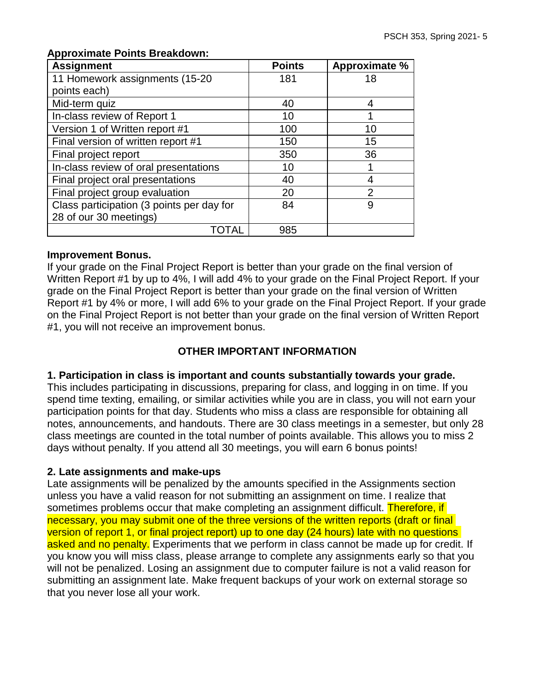| <b>Assignment</b>                         | <b>Points</b> | Approximate %  |
|-------------------------------------------|---------------|----------------|
| 11 Homework assignments (15-20            | 181           | 18             |
| points each)                              |               |                |
| Mid-term quiz                             | 40            | 4              |
| In-class review of Report 1               | 10            | ◀              |
| Version 1 of Written report #1            | 100           | 10             |
| Final version of written report #1        | 150           | 15             |
| Final project report                      | 350           | 36             |
| In-class review of oral presentations     | 10            |                |
| Final project oral presentations          | 40            | 4              |
| Final project group evaluation            | 20            | $\overline{2}$ |
| Class participation (3 points per day for | 84            | 9              |
| 28 of our 30 meetings)                    |               |                |
| OTAL                                      | 985           |                |

#### **Approximate Points Breakdown:**

#### **Improvement Bonus.**

If your grade on the Final Project Report is better than your grade on the final version of Written Report #1 by up to 4%, I will add 4% to your grade on the Final Project Report. If your grade on the Final Project Report is better than your grade on the final version of Written Report #1 by 4% or more, I will add 6% to your grade on the Final Project Report. If your grade on the Final Project Report is not better than your grade on the final version of Written Report #1, you will not receive an improvement bonus.

# **OTHER IMPORTANT INFORMATION**

#### **1. Participation in class is important and counts substantially towards your grade.**

This includes participating in discussions, preparing for class, and logging in on time. If you spend time texting, emailing, or similar activities while you are in class, you will not earn your participation points for that day. Students who miss a class are responsible for obtaining all notes, announcements, and handouts. There are 30 class meetings in a semester, but only 28 class meetings are counted in the total number of points available. This allows you to miss 2 days without penalty. If you attend all 30 meetings, you will earn 6 bonus points!

#### **2. Late assignments and make-ups**

Late assignments will be penalized by the amounts specified in the Assignments section unless you have a valid reason for not submitting an assignment on time. I realize that sometimes problems occur that make completing an assignment difficult. Therefore, if necessary, you may submit one of the three versions of the written reports (draft or final version of report 1, or final project report) up to one day (24 hours) late with no questions asked and no penalty. Experiments that we perform in class cannot be made up for credit. If you know you will miss class, please arrange to complete any assignments early so that you will not be penalized. Losing an assignment due to computer failure is not a valid reason for submitting an assignment late. Make frequent backups of your work on external storage so that you never lose all your work.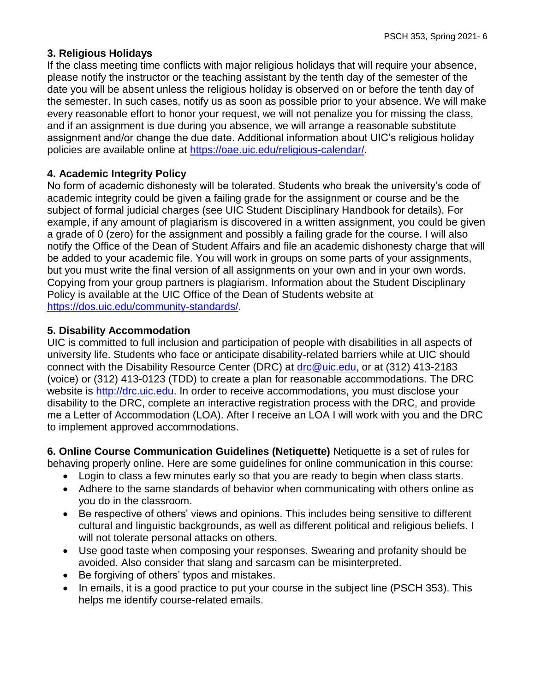# **3. Religious Holidays**

If the class meeting time conflicts with major religious holidays that will require your absence, please notify the instructor or the teaching assistant by the tenth day of the semester of the date you will be absent unless the religious holiday is observed on or before the tenth day of the semester. In such cases, notify us as soon as possible prior to your absence. We will make every reasonable effort to honor your request, we will not penalize you for missing the class, and if an assignment is due during you absence, we will arrange a reasonable substitute assignment and/or change the due date. Additional information about UIC's religious holiday policies are available online at [https://oae.uic.edu/religious-calendar/.](https://oae.uic.edu/religious-calendar/)

# **4. Academic Integrity Policy**

No form of academic dishonesty will be tolerated. Students who break the university's code of academic integrity could be given a failing grade for the assignment or course and be the subject of formal judicial charges (see UIC Student Disciplinary Handbook for details). For example, if any amount of plagiarism is discovered in a written assignment, you could be given a grade of 0 (zero) for the assignment and possibly a failing grade for the course. I will also notify the Office of the Dean of Student Affairs and file an academic dishonesty charge that will be added to your academic file. You will work in groups on some parts of your assignments, but you must write the final version of all assignments on your own and in your own words. Copying from your group partners is plagiarism. Information about the Student Disciplinary Policy is available at the UIC Office of the Dean of Students website at [https://dos.uic.edu/community-standards/.](https://dos.uic.edu/community-standards/)

### **5. Disability Accommodation**

UIC is committed to full inclusion and participation of people with disabilities in all aspects of university life. Students who face or anticipate disability-related barriers while at UIC should connect with the Disability Resource Center (DRC) at [drc@uic.edu,](mailto:drc@uic.edu) or at (312) 413-2183 (voice) or (312) 413-0123 (TDD) to create a plan for reasonable accommodations. The DRC website is [http://drc.uic.edu.](http://drc.uic.edu/) In order to receive accommodations, you must disclose your disability to the DRC, complete an interactive registration process with the DRC, and provide me a Letter of Accommodation (LOA). After I receive an LOA I will work with you and the DRC to implement approved accommodations.

**6. Online Course Communication Guidelines (Netiquette)** Netiquette is a set of rules for behaving properly online. Here are some guidelines for online communication in this course:

- Login to class a few minutes early so that you are ready to begin when class starts.
- Adhere to the same standards of behavior when communicating with others online as you do in the classroom.
- Be respective of others' views and opinions. This includes being sensitive to different cultural and linguistic backgrounds, as well as different political and religious beliefs. I will not tolerate personal attacks on others.
- Use good taste when composing your responses. Swearing and profanity should be avoided. Also consider that slang and sarcasm can be misinterpreted.
- Be forgiving of others' typos and mistakes.
- In emails, it is a good practice to put your course in the subject line (PSCH 353). This helps me identify course-related emails.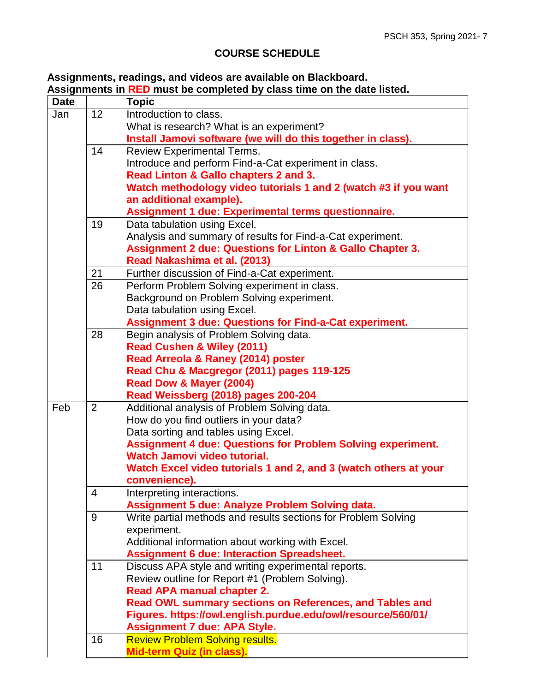# **COURSE SCHEDULE**

#### **Assignments, readings, and videos are available on Blackboard. Assignments in RED must be completed by class time on the date listed.**

| <b>Date</b> |    | <b>Topic</b>                                                         |
|-------------|----|----------------------------------------------------------------------|
| Jan         | 12 | Introduction to class.                                               |
|             |    | What is research? What is an experiment?                             |
|             |    | Install Jamovi software (we will do this together in class).         |
|             | 14 | <b>Review Experimental Terms.</b>                                    |
|             |    | Introduce and perform Find-a-Cat experiment in class.                |
|             |    | Read Linton & Gallo chapters 2 and 3.                                |
|             |    | Watch methodology video tutorials 1 and 2 (watch #3 if you want      |
|             |    | an additional example).                                              |
|             |    | Assignment 1 due: Experimental terms questionnaire.                  |
|             | 19 | Data tabulation using Excel.                                         |
|             |    | Analysis and summary of results for Find-a-Cat experiment.           |
|             |    | <b>Assignment 2 due: Questions for Linton &amp; Gallo Chapter 3.</b> |
|             |    | Read Nakashima et al. (2013)                                         |
|             | 21 | Further discussion of Find-a-Cat experiment.                         |
|             | 26 | Perform Problem Solving experiment in class.                         |
|             |    | Background on Problem Solving experiment.                            |
|             |    | Data tabulation using Excel.                                         |
|             |    | <b>Assignment 3 due: Questions for Find-a-Cat experiment.</b>        |
|             | 28 | Begin analysis of Problem Solving data.                              |
|             |    | <b>Read Cushen &amp; Wiley (2011)</b>                                |
|             |    | Read Arreola & Raney (2014) poster                                   |
|             |    | Read Chu & Macgregor (2011) pages 119-125                            |
|             |    | Read Dow & Mayer (2004)                                              |
|             |    | Read Weissberg (2018) pages 200-204                                  |
| Feb         | 2  | Additional analysis of Problem Solving data.                         |
|             |    | How do you find outliers in your data?                               |
|             |    | Data sorting and tables using Excel.                                 |
|             |    | <b>Assignment 4 due: Questions for Problem Solving experiment.</b>   |
|             |    | Watch Jamovi video tutorial.                                         |
|             |    | Watch Excel video tutorials 1 and 2, and 3 (watch others at your     |
|             |    | convenience).                                                        |
|             | 4  | Interpreting interactions.                                           |
|             |    | Assignment 5 due: Analyze Problem Solving data.                      |
|             | 9  | Write partial methods and results sections for Problem Solving       |
|             |    | experiment.                                                          |
|             |    | Additional information about working with Excel.                     |
|             |    | <b>Assignment 6 due: Interaction Spreadsheet.</b>                    |
|             | 11 | Discuss APA style and writing experimental reports.                  |
|             |    | Review outline for Report #1 (Problem Solving).                      |
|             |    | <b>Read APA manual chapter 2.</b>                                    |
|             |    | Read OWL summary sections on References, and Tables and              |
|             |    | Figures. https://owl.english.purdue.edu/owl/resource/560/01/         |
|             |    | <b>Assignment 7 due: APA Style.</b>                                  |
|             | 16 | <b>Review Problem Solving results.</b>                               |
|             |    | <b>Mid-term Quiz (in class).</b>                                     |